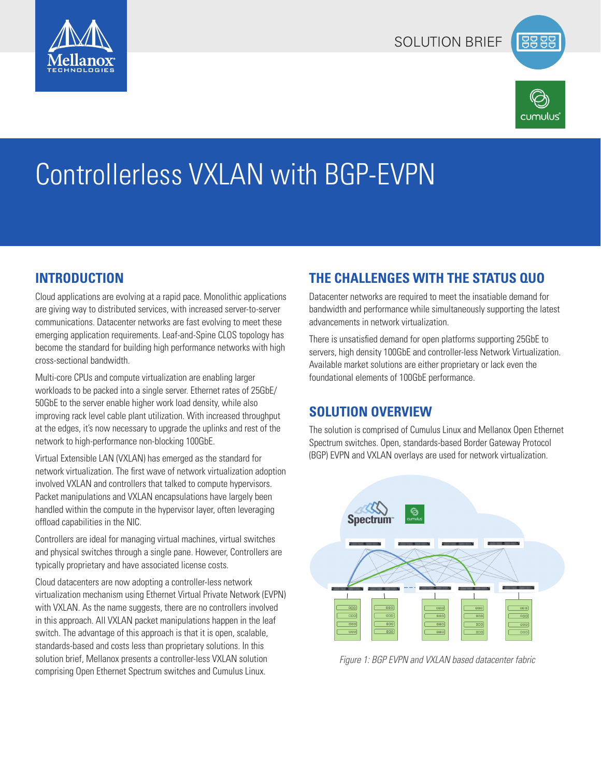



# Controllerless VXLAN with BGP-EVPN

# **INTRODUCTION**

Cloud applications are evolving at a rapid pace. Monolithic applications are giving way to distributed services, with increased server-to-server communications. Datacenter networks are fast evolving to meet these emerging application requirements. Leaf-and-Spine CLOS topology has become the standard for building high performance networks with high cross-sectional bandwidth.

Multi-core CPUs and compute virtualization are enabling larger workloads to be packed into a single server. Ethernet rates of 25GbE/ 50GbE to the server enable higher work load density, while also improving rack level cable plant utilization. With increased throughput at the edges, it's now necessary to upgrade the uplinks and rest of the network to high-performance non-blocking 100GbE.

Virtual Extensible LAN (VXLAN) has emerged as the standard for network virtualization. The first wave of network virtualization adoption involved VXLAN and controllers that talked to compute hypervisors. Packet manipulations and VXLAN encapsulations have largely been handled within the compute in the hypervisor layer, often leveraging offload capabilities in the NIC.

Controllers are ideal for managing virtual machines, virtual switches and physical switches through a single pane. However, Controllers are typically proprietary and have associated license costs.

Cloud datacenters are now adopting a controller-less network virtualization mechanism using Ethernet Virtual Private Network (EVPN) with VXLAN. As the name suggests, there are no controllers involved in this approach. All VXLAN packet manipulations happen in the leaf switch. The advantage of this approach is that it is open, scalable, standards-based and costs less than proprietary solutions. In this solution brief, Mellanox presents a controller-less VXLAN solution comprising Open Ethernet Spectrum switches and Cumulus Linux.

# **THE CHALLENGES WITH THE STATUS QUO**

Datacenter networks are required to meet the insatiable demand for bandwidth and performance while simultaneously supporting the latest advancements in network virtualization.

There is unsatisfied demand for open platforms supporting 25GbE to servers, high density 100GbE and controller-less Network Virtualization. Available market solutions are either proprietary or lack even the foundational elements of 100GbE performance.

# **SOLUTION OVERVIEW**

The solution is comprised of Cumulus Linux and Mellanox Open Ethernet Spectrum switches. Open, standards-based Border Gateway Protocol (BGP) EVPN and VXLAN overlays are used for network virtualization.



*Figure 1: BGP EVPN and VXLAN based datacenter fabric*